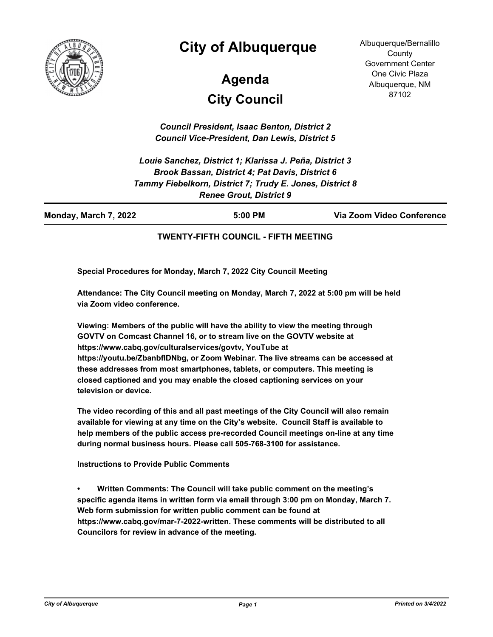

# **City of Albuquerque**

# **City Council Agenda**

Albuquerque/Bernalillo **County** Government Center One Civic Plaza Albuquerque, NM 87102

*Council President, Isaac Benton, District 2 Council Vice-President, Dan Lewis, District 5*

*Louie Sanchez, District 1; Klarissa J. Peña, District 3 Brook Bassan, District 4; Pat Davis, District 6 Tammy Fiebelkorn, District 7; Trudy E. Jones, District 8 Renee Grout, District 9*

| Monday, March 7, 2022 | 5:00 PM | Via Zoom Video Conference |
|-----------------------|---------|---------------------------|
|                       |         |                           |

#### **TWENTY-FIFTH COUNCIL - FIFTH MEETING**

**Special Procedures for Monday, March 7, 2022 City Council Meeting**

**Attendance: The City Council meeting on Monday, March 7, 2022 at 5:00 pm will be held via Zoom video conference.**

**Viewing: Members of the public will have the ability to view the meeting through GOVTV on Comcast Channel 16, or to stream live on the GOVTV website at https://www.cabq.gov/culturalservices/govtv, YouTube at https://youtu.be/ZbanbflDNbg, or Zoom Webinar. The live streams can be accessed at these addresses from most smartphones, tablets, or computers. This meeting is closed captioned and you may enable the closed captioning services on your television or device.**

**The video recording of this and all past meetings of the City Council will also remain available for viewing at any time on the City's website. Council Staff is available to help members of the public access pre-recorded Council meetings on-line at any time during normal business hours. Please call 505-768-3100 for assistance.**

**Instructions to Provide Public Comments**

**• Written Comments: The Council will take public comment on the meeting's specific agenda items in written form via email through 3:00 pm on Monday, March 7. Web form submission for written public comment can be found at https://www.cabq.gov/mar-7-2022-written. These comments will be distributed to all Councilors for review in advance of the meeting.**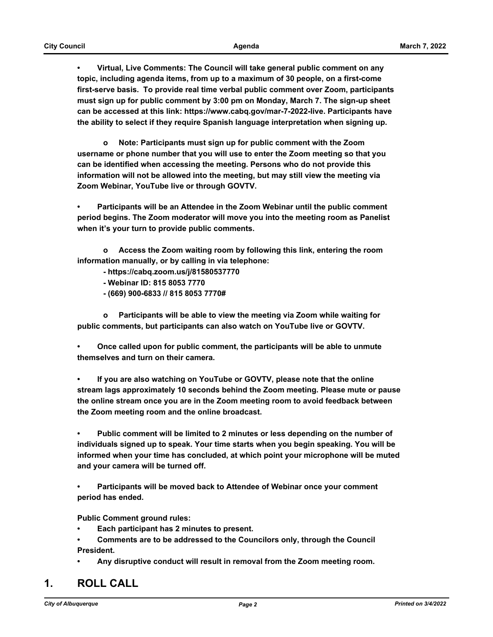**• Virtual, Live Comments: The Council will take general public comment on any topic, including agenda items, from up to a maximum of 30 people, on a first-come first-serve basis. To provide real time verbal public comment over Zoom, participants must sign up for public comment by 3:00 pm on Monday, March 7. The sign-up sheet can be accessed at this link: https://www.cabq.gov/mar-7-2022-live. Participants have the ability to select if they require Spanish language interpretation when signing up.**

 **o Note: Participants must sign up for public comment with the Zoom username or phone number that you will use to enter the Zoom meeting so that you can be identified when accessing the meeting. Persons who do not provide this information will not be allowed into the meeting, but may still view the meeting via Zoom Webinar, YouTube live or through GOVTV.**

**• Participants will be an Attendee in the Zoom Webinar until the public comment period begins. The Zoom moderator will move you into the meeting room as Panelist when it's your turn to provide public comments.** 

 **o Access the Zoom waiting room by following this link, entering the room information manually, or by calling in via telephone:** 

 **- https://cabq.zoom.us/j/81580537770**

- **Webinar ID: 815 8053 7770**
- **(669) 900-6833 // 815 8053 7770#**

 **o Participants will be able to view the meeting via Zoom while waiting for public comments, but participants can also watch on YouTube live or GOVTV.**

**• Once called upon for public comment, the participants will be able to unmute themselves and turn on their camera.**

**• If you are also watching on YouTube or GOVTV, please note that the online stream lags approximately 10 seconds behind the Zoom meeting. Please mute or pause the online stream once you are in the Zoom meeting room to avoid feedback between the Zoom meeting room and the online broadcast.**

**• Public comment will be limited to 2 minutes or less depending on the number of individuals signed up to speak. Your time starts when you begin speaking. You will be informed when your time has concluded, at which point your microphone will be muted and your camera will be turned off.**

**• Participants will be moved back to Attendee of Webinar once your comment period has ended.**

**Public Comment ground rules:**

- **Each participant has 2 minutes to present.**
- **Comments are to be addressed to the Councilors only, through the Council President.**
- **Any disruptive conduct will result in removal from the Zoom meeting room.**

# **1. ROLL CALL**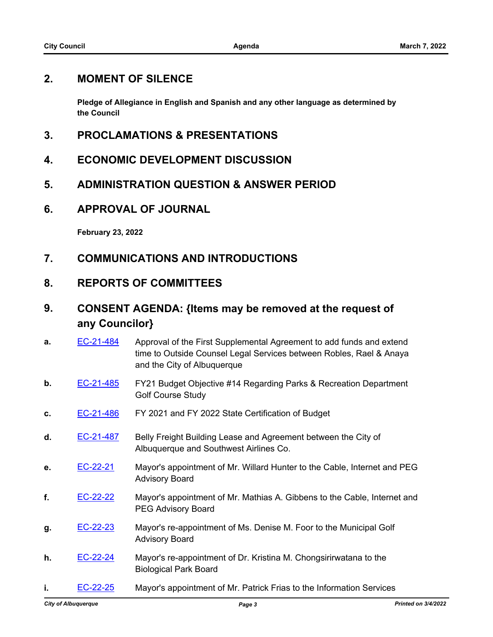## **2. MOMENT OF SILENCE**

**Pledge of Allegiance in English and Spanish and any other language as determined by the Council**

- **3. PROCLAMATIONS & PRESENTATIONS**
- **4. ECONOMIC DEVELOPMENT DISCUSSION**
- **5. ADMINISTRATION QUESTION & ANSWER PERIOD**
- **6. APPROVAL OF JOURNAL**

**February 23, 2022**

- **7. COMMUNICATIONS AND INTRODUCTIONS**
- **8. REPORTS OF COMMITTEES**

# **9. CONSENT AGENDA: {Items may be removed at the request of any Councilor}**

- **a. [EC-21-484](http://cabq.legistar.com/gateway.aspx?m=l&id=/matter.aspx?key=12742)** Approval of the First Supplemental Agreement to add funds and extend time to Outside Counsel Legal Services between Robles, Rael & Anaya and the City of Albuquerque
- **b.** [EC-21-485](http://cabq.legistar.com/gateway.aspx?m=l&id=/matter.aspx?key=12745) FY21 Budget Objective #14 Regarding Parks & Recreation Department Golf Course Study
- **c.** [EC-21-486](http://cabq.legistar.com/gateway.aspx?m=l&id=/matter.aspx?key=12746) FY 2021 and FY 2022 State Certification of Budget
- **d.** [EC-21-487](http://cabq.legistar.com/gateway.aspx?m=l&id=/matter.aspx?key=12747) Belly Freight Building Lease and Agreement between the City of Albuquerque and Southwest Airlines Co.
- **e.** [EC-22-21](http://cabq.legistar.com/gateway.aspx?m=l&id=/matter.aspx?key=12804) Mayor's appointment of Mr. Willard Hunter to the Cable, Internet and PEG Advisory Board
- **f.** [EC-22-22](http://cabq.legistar.com/gateway.aspx?m=l&id=/matter.aspx?key=12805) Mayor's appointment of Mr. Mathias A. Gibbens to the Cable, Internet and PEG Advisory Board
- **g.** [EC-22-23](http://cabq.legistar.com/gateway.aspx?m=l&id=/matter.aspx?key=12806) Mayor's re-appointment of Ms. Denise M. Foor to the Municipal Golf Advisory Board
- **h.** [EC-22-24](http://cabq.legistar.com/gateway.aspx?m=l&id=/matter.aspx?key=12807) Mayor's re-appointment of Dr. Kristina M. Chongsirirwatana to the Biological Park Board
- **i. [EC-22-25](http://cabq.legistar.com/gateway.aspx?m=l&id=/matter.aspx?key=12808)** Mayor's appointment of Mr. Patrick Frias to the Information Services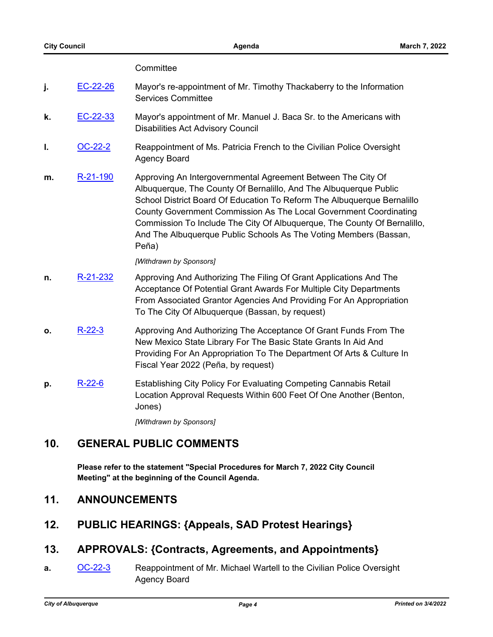#### **Committee**

- **j.** [EC-22-26](http://cabq.legistar.com/gateway.aspx?m=l&id=/matter.aspx?key=12810) Mayor's re-appointment of Mr. Timothy Thackaberry to the Information Services Committee
- **k.** [EC-22-33](http://cabq.legistar.com/gateway.aspx?m=l&id=/matter.aspx?key=12817) Mayor's appointment of Mr. Manuel J. Baca Sr. to the Americans with Disabilities Act Advisory Council
- **I.** [OC-22-2](http://cabq.legistar.com/gateway.aspx?m=l&id=/matter.aspx?key=12820) Reappointment of Ms. Patricia French to the Civilian Police Oversight Agency Board
- **m.** [R-21-190](http://cabq.legistar.com/gateway.aspx?m=l&id=/matter.aspx?key=12608) Approving An Intergovernmental Agreement Between The City Of Albuquerque, The County Of Bernalillo, And The Albuquerque Public School District Board Of Education To Reform The Albuquerque Bernalillo County Government Commission As The Local Government Coordinating Commission To Include The City Of Albuquerque, The County Of Bernalillo, And The Albuquerque Public Schools As The Voting Members (Bassan, Peña)

#### *[Withdrawn by Sponsors]*

- **n.** [R-21-232](http://cabq.legistar.com/gateway.aspx?m=l&id=/matter.aspx?key=12753) Approving And Authorizing The Filing Of Grant Applications And The Acceptance Of Potential Grant Awards For Multiple City Departments From Associated Grantor Agencies And Providing For An Appropriation To The City Of Albuquerque (Bassan, by request)
- **o.** [R-22-3](http://cabq.legistar.com/gateway.aspx?m=l&id=/matter.aspx?key=12775) Approving And Authorizing The Acceptance Of Grant Funds From The New Mexico State Library For The Basic State Grants In Aid And Providing For An Appropriation To The Department Of Arts & Culture In Fiscal Year 2022 (Peña, by request)
- **p.** [R-22-6](http://cabq.legistar.com/gateway.aspx?m=l&id=/matter.aspx?key=12783) Establishing City Policy For Evaluating Competing Cannabis Retail Location Approval Requests Within 600 Feet Of One Another (Benton, Jones)

*[Withdrawn by Sponsors]*

# **10. GENERAL PUBLIC COMMENTS**

**Please refer to the statement "Special Procedures for March 7, 2022 City Council Meeting" at the beginning of the Council Agenda.**

### **11. ANNOUNCEMENTS**

# **12. PUBLIC HEARINGS: {Appeals, SAD Protest Hearings}**

### **13. APPROVALS: {Contracts, Agreements, and Appointments}**

**a.** [OC-22-3](http://cabq.legistar.com/gateway.aspx?m=l&id=/matter.aspx?key=12821) Reappointment of Mr. Michael Wartell to the Civilian Police Oversight Agency Board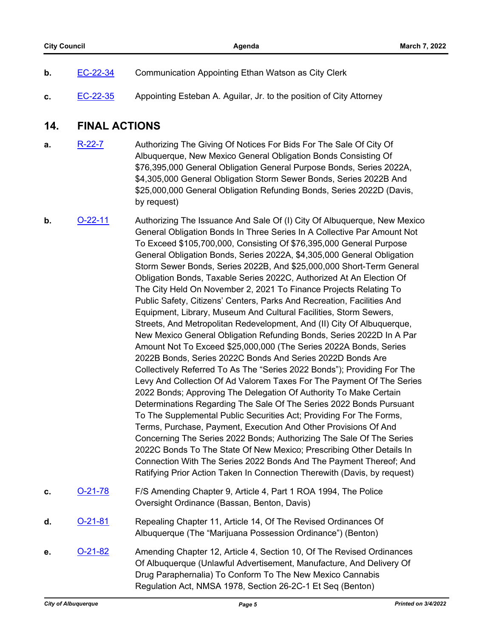| b. | EC-22-34 | <b>Communication Appointing Ethan Watson as City Clerk</b> |
|----|----------|------------------------------------------------------------|
|    |          |                                                            |

**c.** [EC-22-35](http://cabq.legistar.com/gateway.aspx?m=l&id=/matter.aspx?key=12823) Appointing Esteban A. Aguilar, Jr. to the position of City Attorney

## **14. FINAL ACTIONS**

- **a.** [R-22-7](http://cabq.legistar.com/gateway.aspx?m=l&id=/matter.aspx?key=12797) Authorizing The Giving Of Notices For Bids For The Sale Of City Of Albuquerque, New Mexico General Obligation Bonds Consisting Of \$76,395,000 General Obligation General Purpose Bonds, Series 2022A, \$4,305,000 General Obligation Storm Sewer Bonds, Series 2022B And \$25,000,000 General Obligation Refunding Bonds, Series 2022D (Davis, by request)
- **b. [O-22-11](http://cabq.legistar.com/gateway.aspx?m=l&id=/matter.aspx?key=12819)** Authorizing The Issuance And Sale Of (I) City Of Albuquerque, New Mexico General Obligation Bonds In Three Series In A Collective Par Amount Not To Exceed \$105,700,000, Consisting Of \$76,395,000 General Purpose General Obligation Bonds, Series 2022A, \$4,305,000 General Obligation Storm Sewer Bonds, Series 2022B, And \$25,000,000 Short-Term General Obligation Bonds, Taxable Series 2022C, Authorized At An Election Of The City Held On November 2, 2021 To Finance Projects Relating To Public Safety, Citizens' Centers, Parks And Recreation, Facilities And Equipment, Library, Museum And Cultural Facilities, Storm Sewers, Streets, And Metropolitan Redevelopment, And (II) City Of Albuquerque, New Mexico General Obligation Refunding Bonds, Series 2022D In A Par Amount Not To Exceed \$25,000,000 (The Series 2022A Bonds, Series 2022B Bonds, Series 2022C Bonds And Series 2022D Bonds Are Collectively Referred To As The "Series 2022 Bonds"); Providing For The Levy And Collection Of Ad Valorem Taxes For The Payment Of The Series 2022 Bonds; Approving The Delegation Of Authority To Make Certain Determinations Regarding The Sale Of The Series 2022 Bonds Pursuant To The Supplemental Public Securities Act; Providing For The Forms, Terms, Purchase, Payment, Execution And Other Provisions Of And Concerning The Series 2022 Bonds; Authorizing The Sale Of The Series 2022C Bonds To The State Of New Mexico; Prescribing Other Details In Connection With The Series 2022 Bonds And The Payment Thereof; And Ratifying Prior Action Taken In Connection Therewith (Davis, by request) **c.** [O-21-78](http://cabq.legistar.com/gateway.aspx?m=l&id=/matter.aspx?key=12679) F/S Amending Chapter 9, Article 4, Part 1 ROA 1994, The Police
	- Oversight Ordinance (Bassan, Benton, Davis)
- **d.** [O-21-81](http://cabq.legistar.com/gateway.aspx?m=l&id=/matter.aspx?key=12717) Repealing Chapter 11, Article 14, Of The Revised Ordinances Of Albuquerque (The "Marijuana Possession Ordinance") (Benton)
- **e. [O-21-82](http://cabq.legistar.com/gateway.aspx?m=l&id=/matter.aspx?key=12718)** Amending Chapter 12, Article 4, Section 10, Of The Revised Ordinances Of Albuquerque (Unlawful Advertisement, Manufacture, And Delivery Of Drug Paraphernalia) To Conform To The New Mexico Cannabis Regulation Act, NMSA 1978, Section 26-2C-1 Et Seq (Benton)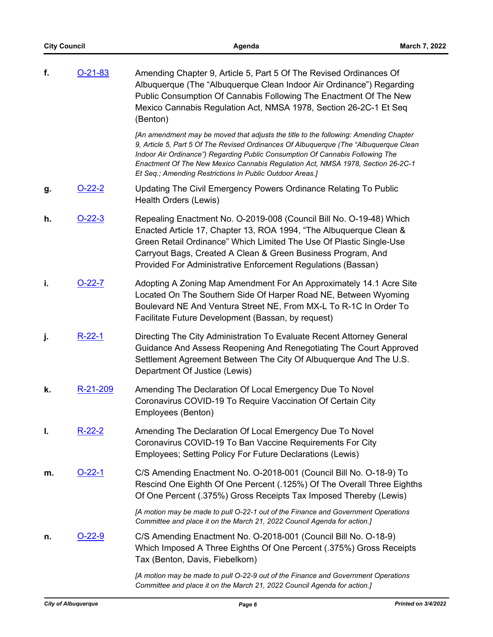| f. | $O-21-83$     | Amending Chapter 9, Article 5, Part 5 Of The Revised Ordinances Of<br>Albuquerque (The "Albuquerque Clean Indoor Air Ordinance") Regarding<br>Public Consumption Of Cannabis Following The Enactment Of The New<br>Mexico Cannabis Regulation Act, NMSA 1978, Section 26-2C-1 Et Seq<br>(Benton)                                                                                                              |
|----|---------------|---------------------------------------------------------------------------------------------------------------------------------------------------------------------------------------------------------------------------------------------------------------------------------------------------------------------------------------------------------------------------------------------------------------|
|    |               | [An amendment may be moved that adjusts the title to the following: Amending Chapter<br>9, Article 5, Part 5 Of The Revised Ordinances Of Albuquerque (The "Albuquerque Clean<br>Indoor Air Ordinance") Regarding Public Consumption Of Cannabis Following The<br>Enactment Of The New Mexico Cannabis Regulation Act, NMSA 1978, Section 26-2C-1<br>Et Seq.; Amending Restrictions In Public Outdoor Areas.] |
| g. | <u>O-22-2</u> | Updating The Civil Emergency Powers Ordinance Relating To Public<br>Health Orders (Lewis)                                                                                                                                                                                                                                                                                                                     |
| h. | $O-22-3$      | Repealing Enactment No. O-2019-008 (Council Bill No. O-19-48) Which<br>Enacted Article 17, Chapter 13, ROA 1994, "The Albuquerque Clean &<br>Green Retail Ordinance" Which Limited The Use Of Plastic Single-Use<br>Carryout Bags, Created A Clean & Green Business Program, And<br>Provided For Administrative Enforcement Regulations (Bassan)                                                              |
| i. | <u>O-22-7</u> | Adopting A Zoning Map Amendment For An Approximately 14.1 Acre Site<br>Located On The Southern Side Of Harper Road NE, Between Wyoming<br>Boulevard NE And Ventura Street NE, From MX-L To R-1C In Order To<br>Facilitate Future Development (Bassan, by request)                                                                                                                                             |
| j. | $R-22-1$      | Directing The City Administration To Evaluate Recent Attorney General<br>Guidance And Assess Reopening And Renegotiating The Court Approved<br>Settlement Agreement Between The City Of Albuquerque And The U.S.<br>Department Of Justice (Lewis)                                                                                                                                                             |
| k. | R-21-209      | Amending The Declaration Of Local Emergency Due To Novel<br>Coronavirus COVID-19 To Require Vaccination Of Certain City<br>Employees (Benton)                                                                                                                                                                                                                                                                 |
| I. | <u>R-22-2</u> | Amending The Declaration Of Local Emergency Due To Novel<br>Coronavirus COVID-19 To Ban Vaccine Requirements For City<br>Employees; Setting Policy For Future Declarations (Lewis)                                                                                                                                                                                                                            |
| m. | <u>O-22-1</u> | C/S Amending Enactment No. O-2018-001 (Council Bill No. O-18-9) To<br>Rescind One Eighth Of One Percent (.125%) Of The Overall Three Eighths<br>Of One Percent (.375%) Gross Receipts Tax Imposed Thereby (Lewis)                                                                                                                                                                                             |
|    |               | [A motion may be made to pull O-22-1 out of the Finance and Government Operations<br>Committee and place it on the March 21, 2022 Council Agenda for action.]                                                                                                                                                                                                                                                 |
| n. |               | C/S Amending Enactment No. O-2018-001 (Council Bill No. O-18-9)<br>Which Imposed A Three Eighths Of One Percent (.375%) Gross Receipts<br>Tax (Benton, Davis, Fiebelkorn)                                                                                                                                                                                                                                     |
|    |               | [A motion may be made to pull O-22-9 out of the Finance and Government Operations<br>Committee and place it on the March 21, 2022 Council Agenda for action.]                                                                                                                                                                                                                                                 |